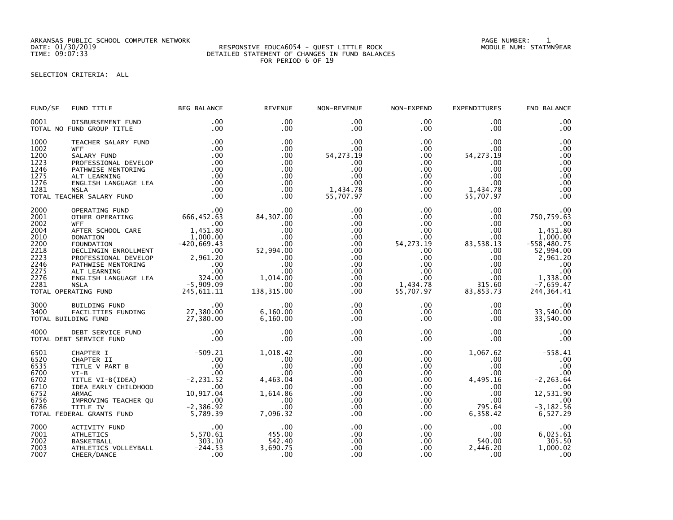ARKANSAS PUBLIC SCHOOL COMPUTER NETWORK PAGE NUMBER: 1

## DATE: 01/30/2019 RESPONSIVE EDUCA6054 - QUEST LITTLE ROCK MODULE NUM: STATMN9EAR TIME: 09:07:33 DETAILED STATEMENT OF CHANGES IN FUND BALANCES FOR PERIOD 6 OF 19

SELECTION CRITERIA: ALL

| FUND/SF                                                                                      | FUND TITLE                                                                                                                                                                                                                                                                                                                       | BEG BALANCE                                                                               | <b>REVENUE</b>                                                                                                                                        | NON-REVENUE                                                                                                                   | NON-EXPEND                                                                                                                      | EXPENDITURES                                                                                                                      | END BALANCE                                                                                                                                       |
|----------------------------------------------------------------------------------------------|----------------------------------------------------------------------------------------------------------------------------------------------------------------------------------------------------------------------------------------------------------------------------------------------------------------------------------|-------------------------------------------------------------------------------------------|-------------------------------------------------------------------------------------------------------------------------------------------------------|-------------------------------------------------------------------------------------------------------------------------------|---------------------------------------------------------------------------------------------------------------------------------|-----------------------------------------------------------------------------------------------------------------------------------|---------------------------------------------------------------------------------------------------------------------------------------------------|
| 0001                                                                                         | DISBURSEMENT FUND<br>TOTAL NO FUND GROUP TITLE                                                                                                                                                                                                                                                                                   | $.00 \,$<br>$.00 \,$                                                                      | $.00 \times$<br>.00                                                                                                                                   | $.00 \,$<br>.00                                                                                                               | $.00 \,$<br>$.00 \,$                                                                                                            | $.00 \,$<br>$.00 \,$                                                                                                              | .00<br>.00                                                                                                                                        |
| 1000<br>1002<br>1200<br>1223<br>1246<br>1275<br>1276<br>1281                                 | TEACHER SALARY FUND<br><b>WFF</b><br>SALARY FUND<br>PROFESSIONAL DEVELOP<br>PATHWISE MENTORING<br>ALT LEARNING<br>ENGLISH LANGUAGE LEA<br>NSLA<br><b>NSLA</b><br>TOTAL TEACHER SALARY FUND                                                                                                                                       | .00<br>.00<br>.00<br>.00<br>$100$<br>$0.00$<br>.00<br>.00<br>.00                          | .00<br>.00<br>.00<br>.00<br>.00<br>.00<br>.00<br>$.00 \,$<br>.00                                                                                      | .00<br>$.00 \,$<br>54, 273. 19<br>.00.<br>.00<br>.00<br>.00<br>1,434.78<br>55,707.97                                          | $.00\,$<br>$.00\,$<br>$.00\,$<br>$.00 \,$<br>.00<br>.00<br>.00<br>$.00 \,$<br>.00                                               | .00.<br>$.00 \,$<br>54, 273. 19<br>.00<br>$.00 \,$<br>.00<br>.00<br>1,434.78<br>55,707.97                                         | .00<br>.00<br>.00<br>.00<br>.00<br>.00<br>.00<br>.00<br>.00                                                                                       |
| 2000<br>2001<br>2002<br>2004<br>2010<br>2200<br>2218<br>2223<br>2246<br>2275<br>2276<br>2281 | 00<br>OTHER OPERATING<br>WIFE OPERATING<br>WIFE 00<br>OTHER OPERATING 666,452.63<br>WFF<br>AFTER SCHOOL CARE 1,451.80<br>DONATION 1,000.00<br>FOUNDATION 1,000.00<br>FOUNDATION 1,000.00<br>FROFESSIONAL DEVELOP 2,961.20<br>PROFESSIONAL DEVELOP 2,961.20<br>ALT LEARNING .00<br>ALT LEARNING .00<br>AL<br>TOTAL OPERATING FUND |                                                                                           | 84,307.00<br>$00$<br>00.<br>00.<br>00.<br>00.<br>52,994.00.<br>00.<br>.00<br>.00<br>$1,014.00$<br>00.00<br>138,315.00                                 | .00<br>.00<br>$.00 \,$<br>.00<br>$.00 \,$<br>.00<br>.00<br>.00<br>.00<br>$.00 \,$<br>.00 <sub>1</sub><br>$.00 \,$<br>$.00 \,$ | $.00 \,$<br>.00<br>$.00\,$<br>.00<br>$.00\,$<br>54, 273. 19<br>$.00\,$<br>$.00\,$<br>.00<br>.00<br>.00<br>1,434.78<br>55,707.97 | $.00 \,$<br>$.00 \,$<br>$.00\,$<br>$.00 \,$<br>00.<br>83, 538 . 13<br>00 .<br>00<br>.00<br>.00<br>$.00 \,$<br>315.60<br>83,853.73 | .00<br>750,759.63<br>.00<br>1,451.80<br>1,000.00<br>$-558,480.75$<br>52,994.00<br>2,961.20<br>.00<br>.00<br>1,338.00<br>$-7,659.47$<br>244,364.41 |
| 3000<br>3400                                                                                 | TOTAL BUILDING FUND                                                                                                                                                                                                                                                                                                              |                                                                                           | $\overline{\phantom{0}}$ .00<br>$6,160.00$<br>6.160.00                                                                                                | $.00 \,$<br>$.00 \,$<br>$.00 \,$                                                                                              | $.00 \,$<br>$.00 \,$<br>$.00 \,$                                                                                                | $.00\,$<br>$.00 \,$<br>$.00 \,$                                                                                                   | .00<br>33,540.00<br>33,540.00                                                                                                                     |
| 4000                                                                                         | DEBT SERVICE FUND<br>TOTAL DEBT SERVICE FUND                                                                                                                                                                                                                                                                                     | $\begin{array}{c} .00 \\ .00 \end{array}$                                                 | .00<br>.00                                                                                                                                            | $.00 \,$<br>.00                                                                                                               | $.00 \,$<br>$.00 \,$                                                                                                            | $.00 \,$<br>.00 <sub>1</sub>                                                                                                      | .00<br>.00                                                                                                                                        |
| 6501<br>6520<br>6535<br>6700<br>6702<br>6710<br>6752<br>6756<br>6786                         | CHAPTER I<br>CHAPTER I<br>CHAPTER II .00<br>TITLE V PART B<br>VI-B<br>CHAPTER (IDEA) .00<br>TITLE VI-B<br>CHARC .00<br>CHAPTER CHILDHOOD .00<br>ARMAC<br>ARMAC .00<br>ARMAC .00<br>TITLE IV .00<br>TITLE IV .00<br>TITLE IV .00<br>FITLE IV .00<br>FITLE IV .00<br>FITLE IV<br>TOTAL FEDERAL GRANTS FUND                         | $-509.21$                                                                                 | 1,018.42<br>$\begin{array}{c} .00 \\ .00 \\ .00 \end{array}$<br>4,463.04<br>$\sim$ .00<br>1,614.86<br>$\overline{\phantom{0}}$ .00<br>.00<br>7,096.32 | .00<br>.00<br>.00<br>.00<br>.00<br>.00<br>.00<br>.00<br>$.00 \,$<br>.00                                                       | $.00 \,$<br>.00<br>$\frac{00}{20}$<br>.00<br>$.00\,$<br>$.00\,$<br>$.00\,$<br>.00<br>$.00\,$<br>$.00 \,$                        | $.00 \,$<br>.00<br>.00<br>4,495.16<br>$.00 \,$<br>$.00 \,$<br>.00<br>795.64<br>6,358.42                                           | 1,067.62 -558.41<br>.00<br>.00<br>.00<br>$-2, 263.64$<br>.00<br>12,531.90<br>.00<br>$-3, 182.56$<br>6,527.29                                      |
| 7000<br>7001<br>7002<br>7003<br>7007                                                         | ACTIVITY FUND<br><b>ATHLETICS</b><br><b>BASKETBALL</b><br>ATHLETICS VOLLEYBALL<br>CHEER/DANCE                                                                                                                                                                                                                                    | $\begin{array}{r} .00\ 5\, ,\, 570\, .\,61\ 303\, .\, 10\ -244\, .\, 53\ 00\ \end{array}$ | 00.<br>455.00<br>542.40<br>3,690.75<br>.00                                                                                                            | .00<br>$.00 \,$<br>.00<br>.00<br>.00                                                                                          | .00<br>.00<br>.00<br>$.00\,$<br>.00 <sub>1</sub>                                                                                | $.00 \,$<br>.00<br>540.00<br>2,446.20<br>.00                                                                                      | $00$ .<br>6,025.61<br>305.50<br>1,000.02<br>.00                                                                                                   |